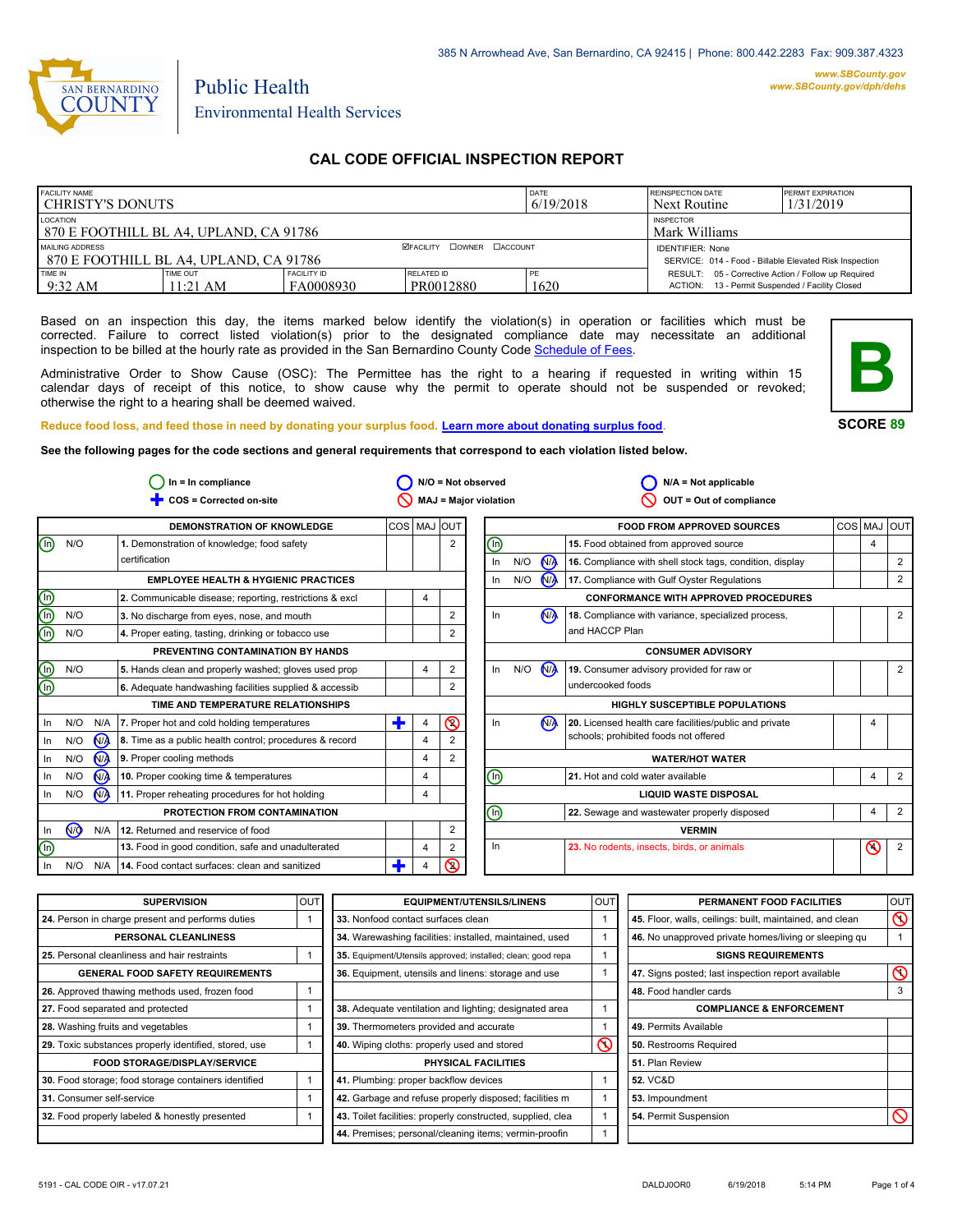

# Public Health Environmental Health Services

### **CAL CODE OFFICIAL INSPECTION REPORT**

| <b>FACILITY NAME</b><br>I CHRISTY'S DONUTS                                                    |                      |                                   |                                | DATE<br>6/19/2018 | <b>REINSPECTION DATE</b><br>Next Routine                                                               | <b>PERMIT EXPIRATION</b><br>1/31/2019 |
|-----------------------------------------------------------------------------------------------|----------------------|-----------------------------------|--------------------------------|-------------------|--------------------------------------------------------------------------------------------------------|---------------------------------------|
| LOCATION<br>870 E FOOTHILL BL A4. UPLAND, CA 91786                                            |                      | <b>INSPECTOR</b><br>Mark Williams |                                |                   |                                                                                                        |                                       |
| <b>ØFACILITY COWNER CACCOUNT</b><br>MAILING ADDRESS<br>870 E FOOTHILL BL A4. UPLAND. CA 91786 |                      |                                   |                                |                   | <b>IDENTIFIER: None</b><br>SERVICE: 014 - Food - Billable Elevated Risk Inspection                     |                                       |
| TIME IN<br>$9:32 \text{ AM}$                                                                  | TIME OUT<br>11:21 AM | <b>FACILITY ID</b><br>FA0008930   | <b>RELATED ID</b><br>PR0012880 | PE<br>1620        | RESULT: 05 - Corrective Action / Follow up Required<br>ACTION: 13 - Permit Suspended / Facility Closed |                                       |

Based on an inspection this day, the items marked below identify the violation(s) in operation or facilities which must be corrected. Failure to correct listed violation(s) prior to the designated compliance date may necessitate an additional inspection to be billed at the hourly rate as provided in the San Bernardino County Code Schedule [of Fees.](http://www.amlegal.com/nxt/gateway.dll/California/sanbernardinocounty_ca/title1governmentandadministration/division6countyfees/chapter2scheduleoffees?f=templates$fn=default.htm$3.0$vid=amlegal:sanbernardinocounty_ca$anc=JD_16.0213B)

Administrative Order to Show Cause (OSC): The Permittee has the right to a hearing if requested in writing within 15 calendar days of receipt of this notice, to show cause why the permit to operate should not be suspended or revoked; otherwise the right to a hearing shall be deemed waived.



**SCORE 89**

#### **Reduce food loss, and feed those in need by donating your surplus food. Learn mor[e about donating surplus food.](http://wp.sbcounty.gov/dph/programs/ehs/food-facilities/)**

**See the following pages for the code sections and general requirements that correspond to each violation listed below.**

| $In = In$ compliance                          |                |                |                                                         |             | $N/O = Not observed$ |                | $N/A = Not applicable$       |     |                      |                                                          |  |             |                |
|-----------------------------------------------|----------------|----------------|---------------------------------------------------------|-------------|----------------------|----------------|------------------------------|-----|----------------------|----------------------------------------------------------|--|-------------|----------------|
|                                               |                |                | COS = Corrected on-site                                 |             |                      |                | MAJ = Major violation        |     |                      | OUT = Out of compliance                                  |  |             |                |
|                                               |                |                | DEMONSTRATION OF KNOWLEDGE                              | COS MAJ OUT |                      |                |                              |     |                      | <b>FOOD FROM APPROVED SOURCES</b>                        |  | COS MAJ OUT |                |
| ⋒                                             | N/O            |                | 1. Demonstration of knowledge; food safety              |             |                      | 2              | $\circledcirc$               |     |                      | 15. Food obtained from approved source                   |  | 4           |                |
|                                               |                |                | certification                                           |             |                      |                | In                           | N/O | <b>N<sub>A</sub></b> | 16. Compliance with shell stock tags, condition, display |  |             | 2              |
|                                               |                |                | <b>EMPLOYEE HEALTH &amp; HYGIENIC PRACTICES</b>         |             |                      |                | In                           | N/O | N                    | 17. Compliance with Gulf Oyster Regulations              |  |             | 2              |
| $\textcircled{\tiny{\textcircled{\tiny{f}}}}$ |                |                | 2. Communicable disease; reporting, restrictions & excl |             | 4                    |                |                              |     |                      | <b>CONFORMANCE WITH APPROVED PROCEDURES</b>              |  |             |                |
|                                               | N/O            |                | 3. No discharge from eyes, nose, and mouth              |             |                      | 2              | In.                          |     | <b>N<sub>A</sub></b> | 18. Compliance with variance, specialized process,       |  |             | 2              |
|                                               | N/O            |                | 4. Proper eating, tasting, drinking or tobacco use      |             |                      | 2              |                              |     |                      | and HACCP Plan                                           |  |             |                |
|                                               |                |                | PREVENTING CONTAMINATION BY HANDS                       |             |                      |                |                              |     |                      | <b>CONSUMER ADVISORY</b>                                 |  |             |                |
| <u>මල</u>                                     | N/O            |                | 5. Hands clean and properly washed; gloves used prop    |             | 4                    | 2              | In                           | N/O | <b>N<sub>A</sub></b> | 19. Consumer advisory provided for raw or                |  |             | 2              |
|                                               |                |                | 6. Adequate handwashing facilities supplied & accessib  |             |                      | 2              |                              |     |                      | undercooked foods                                        |  |             |                |
|                                               |                |                | TIME AND TEMPERATURE RELATIONSHIPS                      |             |                      |                |                              |     |                      | HIGHLY SUSCEPTIBLE POPULATIONS                           |  |             |                |
| In                                            | N/O            | N/A            | 7. Proper hot and cold holding temperatures             | т           | 4                    | $\circledcirc$ | In                           |     | <b>N<sub>A</sub></b> | 20. Licensed health care facilities/public and private   |  | 4           |                |
| In                                            | N/O            | N <sub>A</sub> | 8. Time as a public health control; procedures & record |             | 4                    |                |                              |     |                      | schools; prohibited foods not offered                    |  |             |                |
| In                                            | N/O            | N <sub>A</sub> | 9. Proper cooling methods                               |             | 4                    | 2              |                              |     |                      | <b>WATER/HOT WATER</b>                                   |  |             |                |
| In                                            | N/O            | N <sub>A</sub> | 10. Proper cooking time & temperatures                  |             | $\overline{4}$       |                | ⊕                            |     |                      | 21. Hot and cold water available                         |  | 4           | 2              |
| In                                            | N/O            |                | $N/A$ 11. Proper reheating procedures for hot holding   |             | 4                    |                | <b>LIQUID WASTE DISPOSAL</b> |     |                      |                                                          |  |             |                |
|                                               |                |                | PROTECTION FROM CONTAMINATION                           |             |                      |                | ⊙                            |     |                      | 22. Sewage and wastewater properly disposed              |  | 4           | $\overline{2}$ |
| In                                            | N <sub>O</sub> | N/A            | 12. Returned and reservice of food                      |             |                      | 2              |                              |     |                      | <b>VERMIN</b>                                            |  |             |                |
| $\mathbb O$                                   |                |                | 13. Food in good condition, safe and unadulterated      |             | 4                    |                | In.                          |     |                      | 23. No rodents, insects, birds, or animals               |  | $\odot$     | $\overline{2}$ |
| - In                                          | N/O            | N/A            | 14. Food contact surfaces: clean and sanitized          |             | 4                    | $\circledcirc$ |                              |     |                      |                                                          |  |             |                |

| <b>SUPERVISION</b>                                    | <b>OUT</b> | <b>EQUIPMENT/UTENSILS/LINENS</b>                             | <b>OUT</b> | PERMANENT FOOD FACILITIES                                | <b>OUT</b>     |
|-------------------------------------------------------|------------|--------------------------------------------------------------|------------|----------------------------------------------------------|----------------|
| 24. Person in charge present and performs duties      |            | 33. Nonfood contact surfaces clean                           |            | 45. Floor, walls, ceilings: built, maintained, and clean | $\circledcirc$ |
| PERSONAL CLEANLINESS                                  |            | 34. Warewashing facilities: installed, maintained, used      |            | 46. No unapproved private homes/living or sleeping qu    |                |
| 25. Personal cleanliness and hair restraints          |            | 35. Equipment/Utensils approved; installed; clean; good repa |            | <b>SIGNS REQUIREMENTS</b>                                |                |
| <b>GENERAL FOOD SAFETY REQUIREMENTS</b>               |            | 36. Equipment, utensils and linens: storage and use          |            | 47. Signs posted; last inspection report available       | $\infty$       |
| 26. Approved thawing methods used, frozen food        |            |                                                              |            | 48. Food handler cards                                   |                |
| 27. Food separated and protected                      |            | 38. Adequate ventilation and lighting; designated area       |            | <b>COMPLIANCE &amp; ENFORCEMENT</b>                      |                |
| 28. Washing fruits and vegetables                     |            | 39. Thermometers provided and accurate                       |            | 49. Permits Available                                    |                |
| 29. Toxic substances properly identified, stored, use |            | 40. Wiping cloths: properly used and stored                  | $\infty$   | 50. Restrooms Required                                   |                |
| <b>FOOD STORAGE/DISPLAY/SERVICE</b>                   |            | PHYSICAL FACILITIES                                          |            | 51. Plan Review                                          |                |
| 30. Food storage; food storage containers identified  |            | 41. Plumbing: proper backflow devices                        |            | <b>52. VC&amp;D</b>                                      |                |
| 31. Consumer self-service                             |            | 42. Garbage and refuse properly disposed; facilities m       |            | 53. Impoundment                                          |                |
| 32. Food properly labeled & honestly presented        |            | 43. Toilet facilities: properly constructed, supplied, clea  |            | 54. Permit Suspension                                    |                |
|                                                       |            | 44. Premises; personal/cleaning items; vermin-proofin        |            |                                                          |                |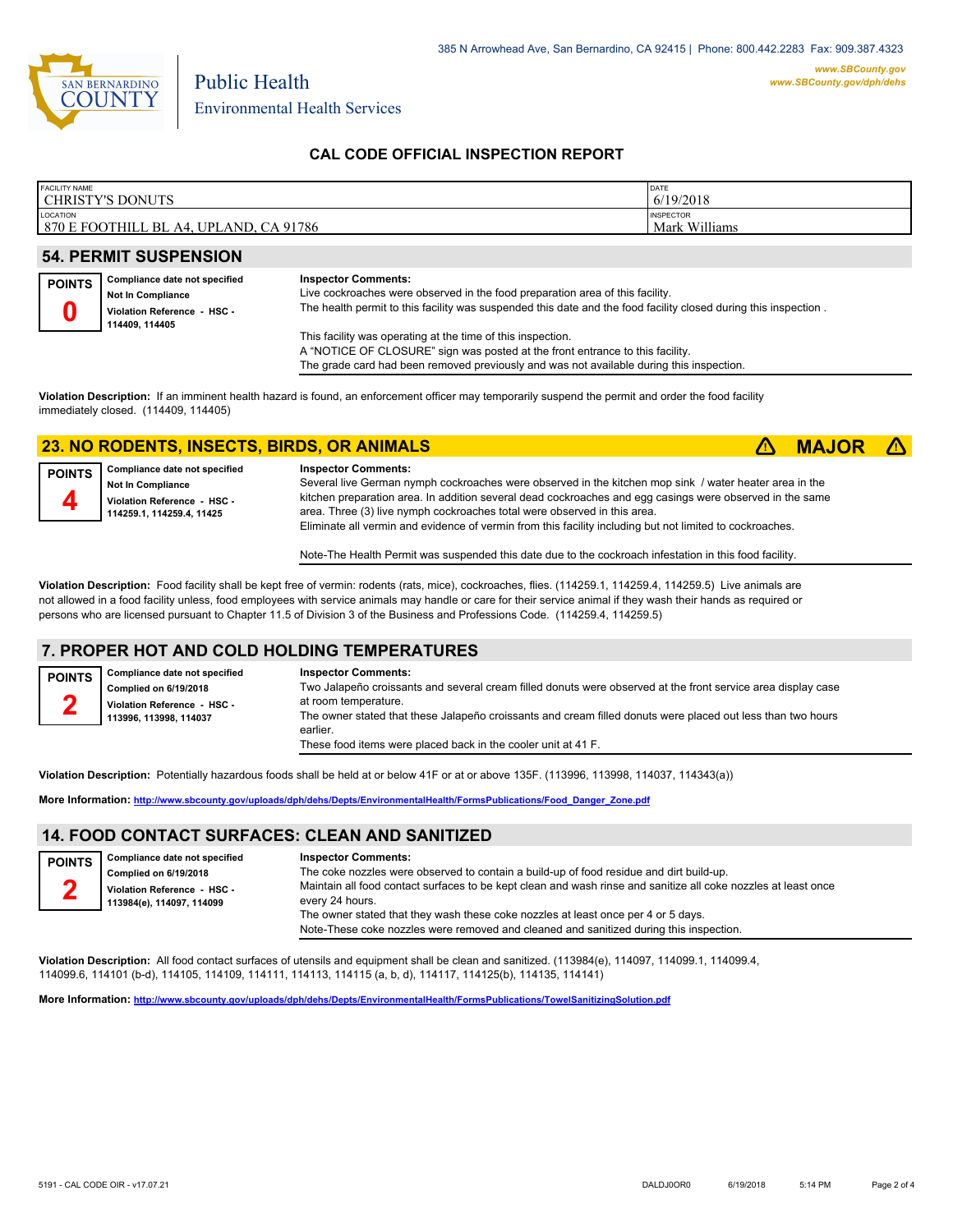

Environmental Health Services

Public Health

### **CAL CODE OFFICIAL INSPECTION REPORT**

| <b>FACILITY NAME</b>                   | DATE             |
|----------------------------------------|------------------|
| <b>CHRISTY'S DONUTS</b>                | 6/19/2018        |
| LOCATION                               | <b>INSPECTOR</b> |
| 870 E FOOTHILL BL A4, UPLAND, CA 91786 | Mark Williams    |

### **54. PERMIT SUSPENSION**

| <b>POINTS</b> | Compliance date not specified<br><b>Not In Compliance</b><br>Violation Reference - HSC -<br>114409.114405 | <b>Inspector Comments:</b><br>Live cockroaches were observed in the food preparation area of this facility.<br>The health permit to this facility was suspended this date and the food facility closed during this inspection. |
|---------------|-----------------------------------------------------------------------------------------------------------|--------------------------------------------------------------------------------------------------------------------------------------------------------------------------------------------------------------------------------|
|               |                                                                                                           | This facility was operating at the time of this inspection.                                                                                                                                                                    |

A "NOTICE OF CLOSURE" sign was posted at the front entrance to this facility.

The grade card had been removed previously and was not available during this inspection.

**Violation Description:** If an imminent health hazard is found, an enforcement officer may temporarily suspend the permit and order the food facility immediately closed. (114409, 114405)

### **23. NO RODENTS, INSECTS, BIRDS, OR ANIMALS** ê**! MAJOR** ê**!**

**Compliance date not specified Not In Compliance Violation Reference - HSC - 114259.1, 114259.4, 11425 POINTS 4 Inspector Comments:**  Several live German nymph cockroaches were observed in the kitchen mop sink / water heater area in the kitchen preparation area. In addition several dead cockroaches and egg casings were observed in the same area. Three (3) live nymph cockroaches total were observed in this area. Eliminate all vermin and evidence of vermin from this facility including but not limited to cockroaches.

Note-The Health Permit was suspended this date due to the cockroach infestation in this food facility.

**Violation Description:** Food facility shall be kept free of vermin: rodents (rats, mice), cockroaches, flies. (114259.1, 114259.4, 114259.5) Live animals are not allowed in a food facility unless, food employees with service animals may handle or care for their service animal if they wash their hands as required or persons who are licensed pursuant to Chapter 11.5 of Division 3 of the Business and Professions Code. (114259.4, 114259.5)

## **7. PROPER HOT AND COLD HOLDING TEMPERATURES**

| <b>POINTS</b> | Compliance date not specified | <b>Inspector Comments:</b>                                                                                   |
|---------------|-------------------------------|--------------------------------------------------------------------------------------------------------------|
|               | Complied on 6/19/2018         | Two Jalapeño croissants and several cream filled donuts were observed at the front service area display case |
| $\sim$        | Violation Reference - HSC -   | at room temperature.                                                                                         |
|               | 113996. 113998. 114037        | The owner stated that these Jalapeño croissants and cream filled donuts were placed out less than two hours  |
|               |                               | earlier.                                                                                                     |
|               |                               | These food items were placed back in the cooler unit at 41 F.                                                |

**Violation Description:** Potentially hazardous foods shall be held at or below 41F or at or above 135F. (113996, 113998, 114037, 114343(a))

**More Information: [http://www.sbcounty.gov/uploads/dph/dehs/Depts/EnvironmentalHealth/FormsPublications/Food\\_Danger\\_Zone.pdf](http://www.sbcounty.gov/uploads/dph/dehs/Depts/EnvironmentalHealth/FormsPublications/Food_Danger_Zone.pdf)**

## **14. FOOD CONTACT SURFACES: CLEAN AND SANITIZED**

| <b>POINTS</b> | Compliance date not specified<br>Complied on 6/19/2018<br>Violation Reference - HSC -<br>113984(e), 114097, 114099 | <b>Inspector Comments:</b><br>The coke nozzles were observed to contain a build-up of food residue and dirt build-up.<br>Maintain all food contact surfaces to be kept clean and wash rinse and sanitize all coke nozzles at least once<br>every 24 hours. |
|---------------|--------------------------------------------------------------------------------------------------------------------|------------------------------------------------------------------------------------------------------------------------------------------------------------------------------------------------------------------------------------------------------------|
|               |                                                                                                                    | The owner stated that they wash these coke nozzles at least once per 4 or 5 days.                                                                                                                                                                          |
|               |                                                                                                                    | Note-These coke nozzles were removed and cleaned and sanitized during this inspection.                                                                                                                                                                     |

**Violation Description:** All food contact surfaces of utensils and equipment shall be clean and sanitized. (113984(e), 114097, 114099.1, 114099.4, 114099.6, 114101 (b-d), 114105, 114109, 114111, 114113, 114115 (a, b, d), 114117, 114125(b), 114135, 114141)

**More Information: <http://www.sbcounty.gov/uploads/dph/dehs/Depts/EnvironmentalHealth/FormsPublications/TowelSanitizingSolution.pdf>**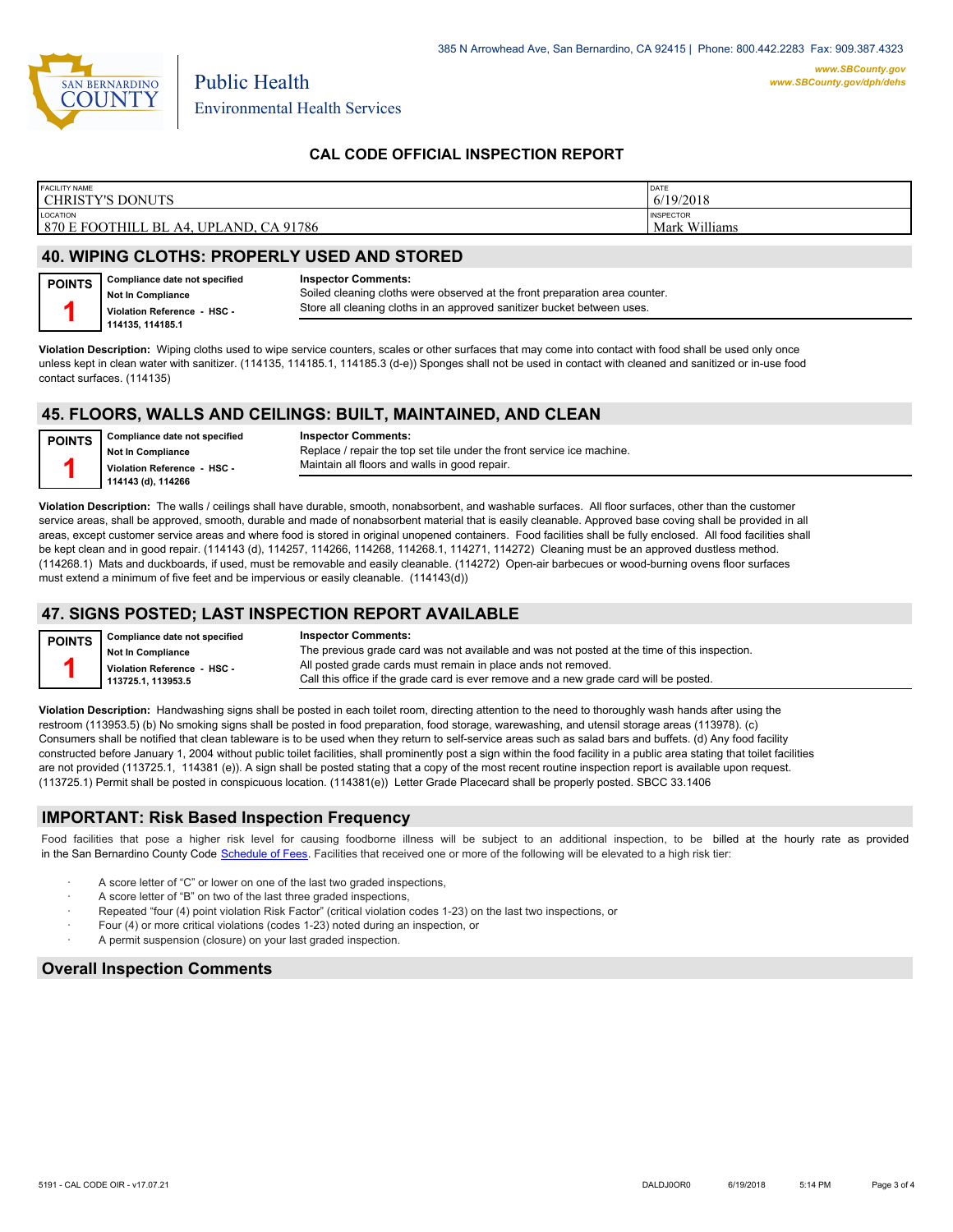

Environmental Health Services

## **CAL CODE OFFICIAL INSPECTION REPORT**

| <b>FACILITY NAME</b>                   | <b>DATE</b>      |
|----------------------------------------|------------------|
| <b>CHRISTY'S DONUTS</b>                | 6/19/2018        |
| LOCATION                               | <b>INSPECTOR</b> |
| 870 E FOOTHILL BL A4, UPLAND, CA 91786 | Mark Williams    |

## **40. WIPING CLOTHS: PROPERLY USED AND STORED**

Public Health

| POINTS   Compliance date not specified | <b>Inspector Comments:</b>                                                  |
|----------------------------------------|-----------------------------------------------------------------------------|
| <b>Not In Compliance</b>               | Soiled cleaning cloths were observed at the front preparation area counter. |
| Violation Reference - HSC -            | Store all cleaning cloths in an approved sanitizer bucket between uses.     |
| 114135, 114185.1                       |                                                                             |

**Violation Description:** Wiping cloths used to wipe service counters, scales or other surfaces that may come into contact with food shall be used only once unless kept in clean water with sanitizer. (114135, 114185.1, 114185.3 (d-e)) Sponges shall not be used in contact with cleaned and sanitized or in-use food contact surfaces. (114135)

# **45. FLOORS, WALLS AND CEILINGS: BUILT, MAINTAINED, AND CLEAN**

**Compliance date not specified Not In Compliance Violation Reference - HSC - 114143 (d), 114266 POINTS 1**

**Inspector Comments:**  Replace / repair the top set tile under the front service ice machine. Maintain all floors and walls in good repair.

**Violation Description:** The walls / ceilings shall have durable, smooth, nonabsorbent, and washable surfaces. All floor surfaces, other than the customer service areas, shall be approved, smooth, durable and made of nonabsorbent material that is easily cleanable. Approved base coving shall be provided in all areas, except customer service areas and where food is stored in original unopened containers. Food facilities shall be fully enclosed. All food facilities shall be kept clean and in good repair. (114143 (d), 114257, 114266, 114268, 114268.1, 114271, 114272) Cleaning must be an approved dustless method. (114268.1) Mats and duckboards, if used, must be removable and easily cleanable. (114272) Open-air barbecues or wood-burning ovens floor surfaces must extend a minimum of five feet and be impervious or easily cleanable. (114143(d))

#### **47. SIGNS POSTED; LAST INSPECTION REPORT AVAILABLE**

| <b>POINTS</b> | Compliance date not specified | <b>Inspector Comments:</b>                                                                   |
|---------------|-------------------------------|----------------------------------------------------------------------------------------------|
|               | <b>Not In Compliance</b>      | The previous grade card was not available and was not posted at the time of this inspection. |
|               | Violation Reference - HSC -   | All posted grade cards must remain in place ands not removed.                                |
|               | 113725.1.113953.5             | Call this office if the grade card is ever remove and a new grade card will be posted.       |

**Violation Description:** Handwashing signs shall be posted in each toilet room, directing attention to the need to thoroughly wash hands after using the restroom (113953.5) (b) No smoking signs shall be posted in food preparation, food storage, warewashing, and utensil storage areas (113978). (c) Consumers shall be notified that clean tableware is to be used when they return to self-service areas such as salad bars and buffets. (d) Any food facility constructed before January 1, 2004 without public toilet facilities, shall prominently post a sign within the food facility in a public area stating that toilet facilities are not provided (113725.1, 114381 (e)). A sign shall be posted stating that a copy of the most recent routine inspection report is available upon request. (113725.1) Permit shall be posted in conspicuous location. (114381(e)) Letter Grade Placecard shall be properly posted. SBCC 33.1406

#### **IMPORTANT: Risk Based Inspection Frequency**

Food facilities that pose a higher risk level for causing foodborne illness will be subject to an additional inspection, to be billed at the hourly rate as provided in the San Bernardino County Code S[chedule of Fees. Facilitie](http://www.amlegal.com/nxt/gateway.dll/California/sanbernardinocounty_ca/title1governmentandadministration/division6countyfees/chapter2scheduleoffees?f=templates$fn=default.htm$3.0$vid=amlegal:sanbernardinocounty_ca$anc=JD_16.0213B)s that received one or more of the following will be elevated to a high risk tier:

- A score letter of "C" or lower on one of the last two graded inspections,
- A score letter of "B" on two of the last three graded inspections,
- Repeated "four (4) point violation Risk Factor" (critical violation codes 1-23) on the last two inspections, or
- Four (4) or more critical violations (codes 1-23) noted during an inspection, or
- A permit suspension (closure) on your last graded inspection.

#### **Overall Inspection Comments**